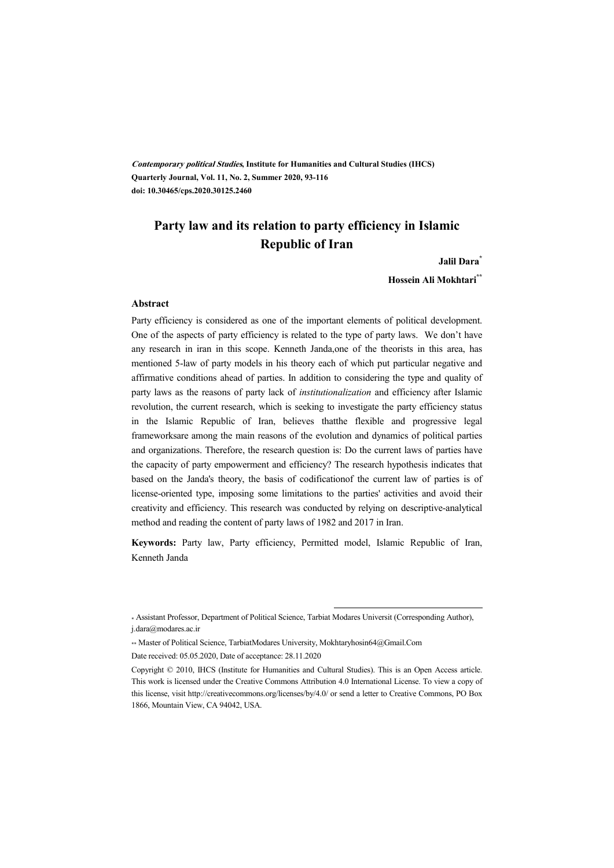**Contemporary political Studies, Institute for Humanities and Cultural Studies (IHCS) Quarterly Journal, Vol. 11, No. 2, Summer 2020, 93-116 doi: 10.30465/cps.2020.30125.2460** 

# **Party law and its relation to party efficiency in Islamic Republic of Iran**

#### **Jalil Dara\***

**Hossein Ali Mokhtari\*\*** 

#### **Abstract**

Party efficiency is considered as one of the important elements of political development. One of the aspects of party efficiency is related to the type of party laws. We don't have any research in iran in this scope. Kenneth Janda,one of the theorists in this area, has mentioned 5-law of party models in his theory each of which put particular negative and affirmative conditions ahead of parties. In addition to considering the type and quality of party laws as the reasons of party lack of *institutionalization* and efficiency after Islamic revolution, the current research, which is seeking to investigate the party efficiency status in the Islamic Republic of Iran, believes thatthe flexible and progressive legal frameworksare among the main reasons of the evolution and dynamics of political parties and organizations. Therefore, the research question is: Do the current laws of parties have the capacity of party empowerment and efficiency? The research hypothesis indicates that based on the Janda's theory, the basis of codificationof the current law of parties is of license-oriented type, imposing some limitations to the parties' activities and avoid their creativity and efficiency. This research was conducted by relying on descriptive-analytical method and reading the content of party laws of 1982 and 2017 in Iran.

**Keywords:** Party law, Party efficiency, Permitted model, Islamic Republic of Iran, Kenneth Janda

:

<sup>\*</sup> Assistant Professor, Department of Political Science, Tarbiat Modares Universit (Corresponding Author), j.dara@modares.ac.ir

<sup>\*\*</sup> Master of Political Science, TarbiatModares University, Mokhtaryhosin64@Gmail.Com

Date received: 05.05.2020, Date of acceptance: 28.11.2020

Copyright © 2010, IHCS (Institute for Humanities and Cultural Studies). This is an Open Access article. This work is licensed under the Creative Commons Attribution 4.0 International License. To view a copy of this license, visit http://creativecommons.org/licenses/by/4.0/ or send a letter to Creative Commons, PO Box 1866, Mountain View, CA 94042, USA.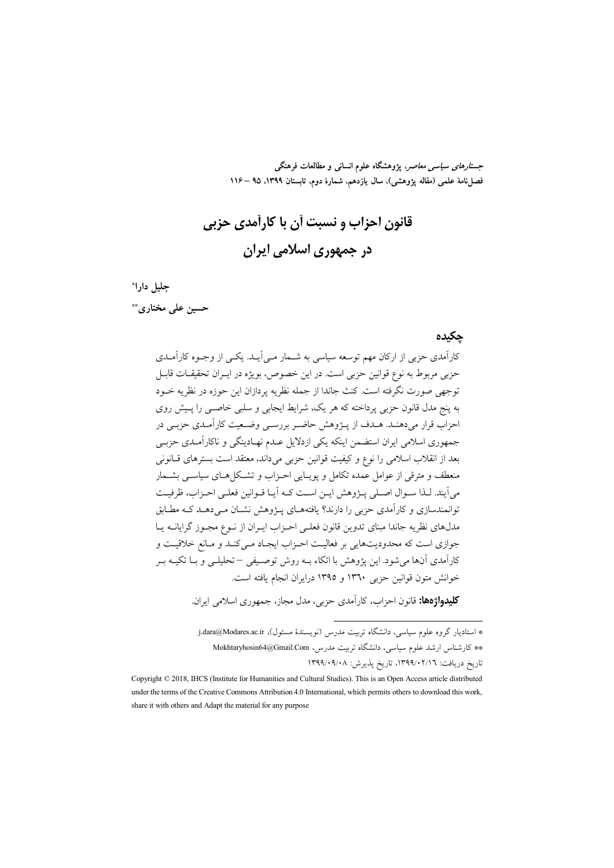جس*تارهای سیاسی معاص*ر، یژوهشگاه علوم انسانی و مطالعات فرهنگی فصل نامهٔ علمی (مقاله پژوهشی)، سال یازدهم، شمارهٔ دوم، تابستان ۱۳۹۹، ۹۵ –۱۱۶

قانون احزاب و نسبت آن با کارآمدی حزبی در جمهوری اسلامی ایران

#### جليل دارا\*

حسین علی مختاری\*\*

#### حكىدە

کارآمدی حزبی از ارکان مهم توسعه سیاسی به شـمار مـ ٍ اَیــد. یکــ ٍ از وجــوه کارآمــدی حزبي مربوط به نوع قوانين حزبي است. در اين خصوص، بويژه در ايـران تحقيقــات قابــا ً توجهي صورت نگرفته است. كنتْ جاندا از جمله نظريه پردازان اين حوزه در نظريه خــود به پنج مدل قانون حزبی پرداخته که هر یک، شرایط ایجابی و سلبی خاصبی را پـیش روی احزاب قرار می دهنید. هیدف از پیژوهش حاضیر بررستی وضعیت کارآمیدی حزبے در جمهوری اسلامی ایران استضمن اینکه یکی ازدلایل عـدم نهـادینگی و ناکارآمـدی حزبـی بعد از انقلاب اسلامی را نوع و کیفیت قوانین حزبی می داند، معتقد است بسترهای قــانونی منعطف و مترقی از عوامل عمده تکامل و پویـایی احـزاب و تشـکلهـای سیاســی بشــمار می اَیند. لـذا سـوال اصـلی پـژوهش ایـن اسـت کـه اَیـا قـوانین فعلـی احـزاب، ظرفیـت توانمندسازی و کارآمدی حزبی را دارند؟ یافتههـای پــژوهش نشــان مــی دهــد کــه مطــابق مدلهای نظریه جاندا مبنای تدوین قانون فعلـی احـزاب ایـران از نــوع مجـوز گرایانــه یــا جوازی است که محدودیتهایی بر فعالیت احـزاب ایجـاد مـیکنـد و مـانع خلاقیـت و كارآمدي آنها مي شود. اين پژوهش با اتكاء بـه روش توصـيفي –تحليلـي و بــا تكيــه بــر خوانش متون قوانين حزبي ١٣٦٠ و ١٣٩٥ درايران انجام يافته است.

**کلیدواژهها:** قانون احزاب، کارآمدی حزبی، مدل مجاز، جمهوری اسلامی ایران.

\* استادیار گروه علوم سیاسی، دانشگاه تربیت مدرس (نویسندهٔ مسئول)، j.dara@Modares.ac.ir \*\* كارشناس ارشد علوم سياسي، دانشگاه تربيت مدرس، Mokhtaryhosin64@Gmail.Com تاريخ دريافت: ١٣٩٩/٠٢/١٦، تاريخ پذيرش: ١٣٩٩/٠٩/٠٨

Copyright © 2018, IHCS (Institute for Humanities and Cultural Studies). This is an Open Access article distributed under the terms of the Creative Commons Attribution 4.0 International, which permits others to download this work. share it with others and Adapt the material for any purpose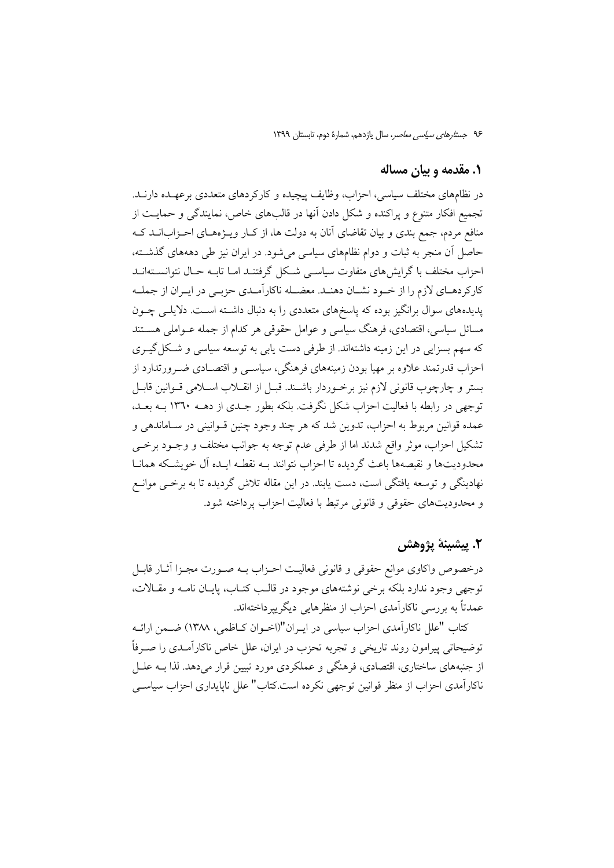#### ۱. مقدمه و بیان مساله

در نظامهای مختلف سیاسی، احزاب، وظایف پیچیده و کارکردهای متعددی برعهـده دارنــد. تجمیع افکار متنوع و پراکنده و شکل دادن آنها در قالبهای خاص، نمایندگی و حمایت از منافع مردم، جمع بندی و بیان تقاضای آنان به دولت ها، از کــار ویــژههــای احــزابانــد کــه حاصل آن منجر به ثبات و دوام نظامهای سیاسی میشود. در ایران نیز طی دهههای گذشته، احزاب مختلف با گرایشهای متفاوت سیاســی شــکل گرفتنــد امــا تابــه حــال نتوانســتهانــد كاركردهـاي لازم را از خـود نشـان دهنـد. معضـله ناكارآمـدي حزبـي در ايـران از جملـه پدیدههای سوال برانگیز بوده که پاسخهای متعددی را به دنبال داشته است. دلایلـی چــون مسائل سیاسی، اقتصادی، فرهنگ سیاسی و عوامل حقوقی هر کدام از جمله عــواملی هســتند که سهم بسزایی در این زمینه داشتهاند. از طرفی دست یابی به توسعه سیاسی و شکل گیـری احزاب قدرتمند علاوه بر مهیا بودن زمینههای فرهنگی، سیاسبی و اقتصـادی ضـرورتدارد از بستر و چارچوب قانونی لازم نیز برخـوردار باشـند. قبـل از انقــلاب اســلامی قــوانین قابـل توجهی در رابطه با فعالیت احزاب شکل نگرفت. بلکه بطور جـدی از دهــه ۱۳٦۰ بــه بعــد، عمده قوانین مربوط به احزاب، تدوین شد که هر چند وجود چنین قــوانینی در ســاماندهی و تشکیل احزاب، موثر واقع شدند اما از طرفی عدم توجه به جوانب مختلف و وجـود برخـی محدوديتها و نقيصهها باعث گرديده تا احزاب نتوانند بـه نقطـه ايـده آل خويشـكه همانــا نهادینگی و توسعه یافتگی است، دست یابند. در این مقاله تلاش گردیده تا به برخــی موانــع و محدوديتهاي حقوقي و قانوني مرتبط با فعاليت احزاب يرداخته شود.

# ٢. پيشينهٔ پژوهش

درخصوص واكاوى موانع حقوقي و قانوني فعاليت احـزاب بــه صـورت مجـزا أثــار قابــا توجهي وجود ندارد بلكه برخي نوشتههاي موجود در قالب كتـاب، پايـان نامـه و مقـالات، عمدتاً به بررسی ناکارآمدی احزاب از منظرهایی دیگرییرداختهاند.

كتاب "علل ناكارآمدي احزاب سياسي در ايـران"(اخــوان كــاظمى، ١٣٨٨) ضــمن ارائــه توضیحاتی پیرامون روند تاریخی و تجربه تحزب در ایران، علل خاص ناکارآمـدی را صـرفاً از جنبههای ساختاری، اقتصادی، فرهنگی و عملکردی مورد تبیین قرار میدهد. لذا بــه علــل ناکارآمدی احزاب از منظر قوانین توجهی نکرده است.کتاب" علل ناپایداری احزاب سیاسبی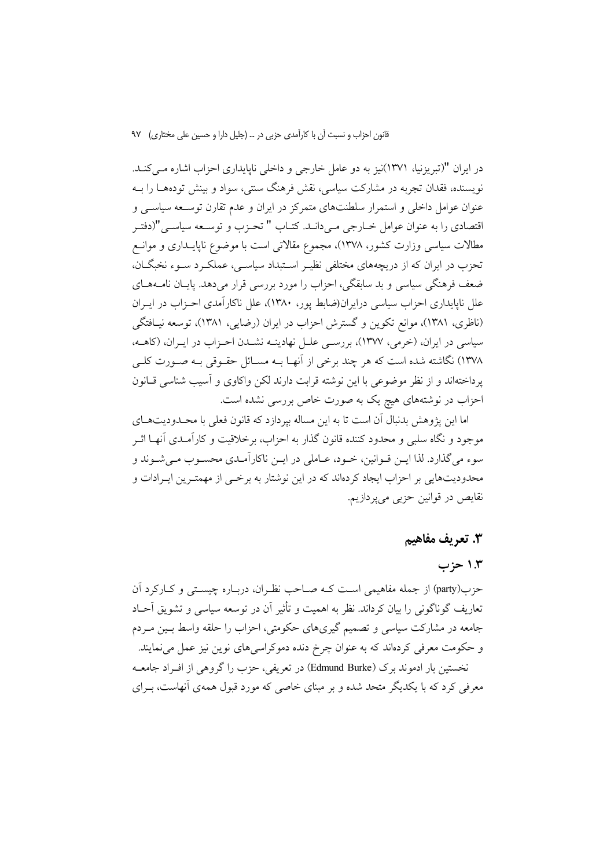در ایران "(تبریزنیا، ۱۳۷۱)نیز به دو عامل خارجی و داخلی ناپایداری احزاب اشاره مـیکنـد. نویسنده، فقدان تجربه در مشارکت سیاسی، نقش فرهنگ سنتی، سواد و بینش تودههــا را بــه عنوان عوامل داخلی و استمرار سلطنتهای متمرکز در ایران و عدم تقارن توسـعه سیاســی و اقتصادي را به عنوان عوامل خــارجي مــي(انــد. كتــاب " تحــزب و توســعه سياســي"(دفتــر مطالات سیاسی وزارت کشور، ۱۳۷۸)، مجموع مقالاتی است با موضوع ناپایــداری و موانــع تحزب در ایران که از دریچههای مختلفی نظیـر اسـتبداد سیاسـی، عملکـرد سـوء نخبگـان، ضعف فرهنگی سیاسی و بد سابقگی، احزاب را مورد بررسی قرار میدهد. پایـان نامـههـای علل ناپایداری احزاب سیاسی درایران(ضابط یور، ۱۳۸۰)، علل ناکارآمدی احـزاب در ایــران (ناظری، ۱۳۸۱)، موانع تکوین و گسترش احزاب در ایران (رضایی، ۱۳۸۱)، توسعه نیـافتگی سیاسی در ایران، (خرمی، ۱۳۷۷)، بررسـی علـل نهادینـه نشـدن احـزاب در ایـران، (كاهـه، ۱۳۷۸) نگاشته شده است که هر چند برخی از آنهـا بــه مســائل حقــوقی بــه صــورت کلــی یر داختهاند و از نظر موضوعی با این نوشته قرابت دارند لکن واکاوی و آسیب شناسی قـانون احزاب در نوشتههای هیچ یک به صورت خاص بررسی نشده است.

اما این پژوهش بدنبال آن است تا به این مساله بپردازد که قانون فعلی با محـدودیتهـای موجود و نگاه سلبی و محدود کننده قانون گذار به احزاب، برخلاقیت و کارآمـدی آنهـا اثــر سوءِ مي گذارد. لذا ايــن قــوانين، خــود، عــاملي در ايــن ناكارآمــدي محســوب مــي شــوند و محدودیتهایی بر احزاب ایجاد کردهاند که در این نوشتار به برخــی از مهمتـرین ایــرادات و نقايص در قوانين حزبي ميپردازيم.

#### 3. تعريف مفاهيم

## ۱.۳ حزب

حزب(party) از جمله مفاهيمي است كـه صــاحب نظـران، دربـاره چيســتي و كــاركرد آن تعاریف گوناگونی را بیان کرداند. نظر به اهمیت و تأثیر آن در توسعه سیاسی و تشویق آحـاد جامعه در مشارکت سیاسی و تصمیم گیریهای حکومتی، احزاب را حلقه واسط بـین مـردم و حکومت معرفی کردهاند که به عنوان چرخ دنده دموکراسی های نوین نیز عمل می نمایند. نخستین بار ادموند برک (Edmund Burke) در تعریفی، حزب را گروهی از افـراد جامعـه معرفی کرد که با یکدیگر متحد شده و بر مبنای خاصی که مورد قبول همهی آنهاست، بـرای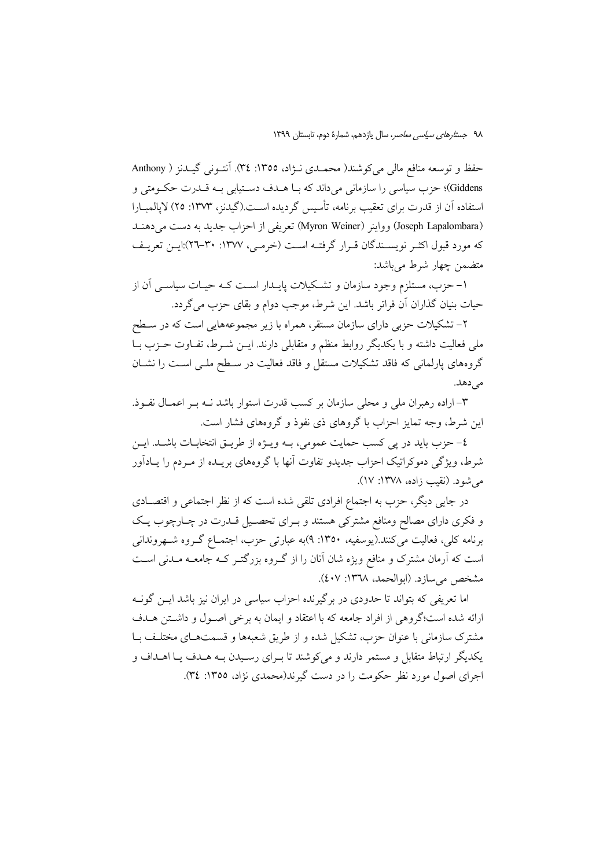حفظ و توسعه منافع مالي مي كوشند( محمـدي نـژاد، ١٣٥٥: ٣٤). آنتـوني گيـدنز ( Anthony Giddens)؛ حزب سیاسی را سازمانی می داند که بــا هــدف دســتیابی بــه قــدرت حکــومتی و استفاده آن از قدرت برای تعقیب برنامه، تأسیس گردیده اسـت.(گیدنز، ۱۳۷۳: ۲۵) لایالمبــارا (Joseph Lapalombara) وواينر (Myron Weiner) تعريفي از احزاب جديد به دست مي دهنـد که مورد قبول اکثـر نویسـندگان قـرار گرفتـه اسـت (خرمـی، ۱۳۷۷: ۳۰-۲۲):ایـن تعریـف متضمن چهار شرط می باشد:

۱– حزب، مستلزم وجود سازمان و تشکیلات پایــدار اســت کــه حیــات سیاســی اَن از حيات بنيان گذاران أن فراتر باشد. اين شرط، موجب دوام و بقاي حزب مي گردد.

۲– تشکیلات حزبی دارای سازمان مستقر، همراه با زیر مجموعههایی است که در سـطح ملی فعالیت داشته و با یکدیگر روابط منظم و متقابلی دارند. ایــن شــرط، تفــاوت حــزب بــا گروههای پارلمانی که فاقد تشکیلات مستقل و فاقد فعالیت در سـطح ملـی اسـت را نشـان مر دهد.

۳– اراده رهبران ملی و محلی سازمان بر کسب قدرت استوار باشد نــه بــر اعمــال نفــوذ. این شرط، وجه تمایز احزاب با گروهای ذی نفوذ و گروههای فشار است.

٤- حزب بايد در پي كسب حمايت عمومي، بــه ويــژه از طريــق انتخابــات باشــد. ايــن شرط، ویژگی دموکراتیک احزاب جدیدو تفاوت آنها با گروههای بریــده از مــردم را یــادآور می شود. (نقب زاده، ۱۳۷۸: ۱۷).

در جایی دیگر، حزب به اجتماع افرادی تلقی شده است که از نظر اجتماعی و اقتصـادی و فکری دارای مصالح ومنافع مشترکی هستند و بـرای تحصـیل قــدرت در چـارچوب یـک برنامه کلی، فعالیت میکنند.(یوسفیه، ۱۳۵۰: ۹)به عبارتی حزب، اجتمـاع گـروه شـهروندانی است که آرمان مشترک و منافع ویژه شان آنان را از گــروه بزرگتــر کــه جامعــه مــدنـی اســت مشخص مي سازد. (ابوالحمد، ١٣٦٨: ٤٠٧).

اما تعریفی که بتواند تا حدودی در برگیرنده احزاب سیاسی در ایران نیز باشد ایــن گونــه ارائه شده است؛گروهی از افراد جامعه که با اعتقاد و ایمان به برخی اصـول و داشـتن هــدف مشترک سازمانی با عنوان حزب، تشکیل شده و از طریق شعبهها و قسمتهای مختلف بـا یکدیگر ارتباط متقابل و مستمر دارند و میکوشند تا بـرای رسـیدن بـه هـدف یـا اهـداف و اجرای اصول مورد نظر حکومت را در دست گیرند(محمدی نژاد، ۱۳۵۵: ۳٤).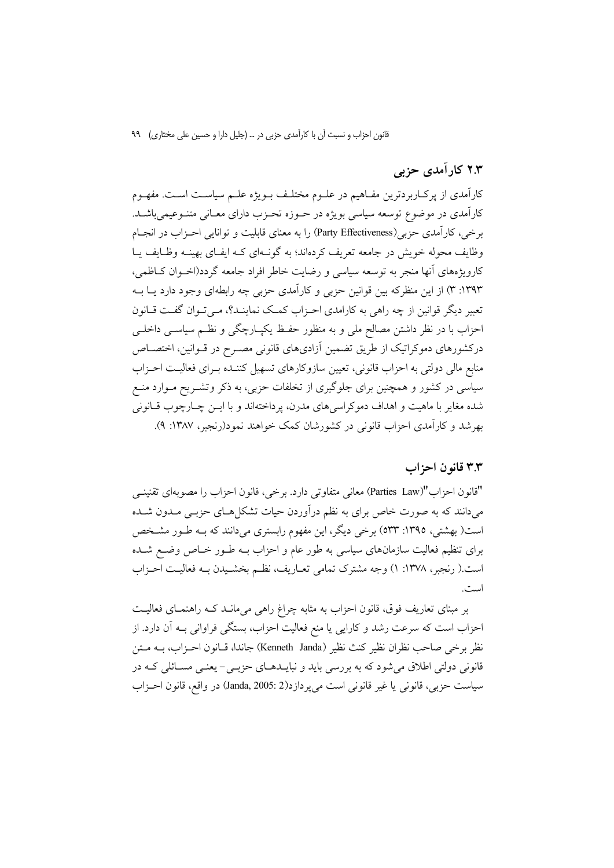# ۲.۳ کار آمدی حزبی

کارآمدی از پرکـاربردترین مفـاهیم در علــوم مختلـف بــویژه علــم سیاســت اســت. مفهــوم کارآمدی در موضوع توسعه سیاسی بویژه در حـوزه تحـزب دارای معـانی متنـوعیمیباشـد. برخی ، کارآمدی حزبی (Party Effectiveness) را به معنای قابلیت و توانایی احـزاب در انجـام وظایف محوله خویش در جامعه تعریف کردهاند؛ به گونـهای کـه ایفـای بهینـه وظـایف یـا کارویژههای انها منجر به توسعه سیاسی و رضایت خاطر افراد جامعه گردد(اخــوان کــاظمی، ۱۳۹۳: ۳) از این منظرکه بین قوانین حزبی و کارآمدی حزبی چه رابطهای وجود دارد یـا بــه تعبیر دیگر قوانین از چه راهی به کارامدی احـزاب کمـک نماینـد؟، مـی تـوان گفـت قـانون احزاب با در نظر داشتن مصالح ملی و به منظور حفـظ یکپـارچگی و نظـم سیاســی داخلــی درکشورهای دموکراتیک از طریق تضمین آزادیهای قانونی مصـرح در قــوانین، اختصــاص منابع مالی دولتی به احزاب قانونی، تعیین سازوکارهای تسهیل کننـده بـرای فعالیـت احـزاب سیاسی در کشور و همچنین برای جلوگیری از تخلفات حزبی، به ذکر وتشـریح مـوارد منـع شده مغاير با ماهيت و اهداف دموكراسي هاى مدرن، پرداختهاند و با ايــن چــارچوب قــانونى بهرشد و کارآمدی احزاب قانونی در کشورشان کمک خواهند نمود(رنجبر، ۱۳۸۷: ۹).

## ۳.۳ قانون احزاب

"قانون احزاب"(Parties Law) معاني متفاوتي دارد. برخي، قانون احزاب را مصوبهاي تقنينـي میدانند که به صورت خاص برای به نظم درآوردن حیات تشکلهـای حزبـی مـدون شـده است( بهشتی، ۱۳۹٥: ٥٣٣) برخی دیگر، این مفهوم رابستری میدانند که بـه طـور مشـخص برای تنظیم فعالیت سازمانهای سیاسی به طور عام و احزاب بــه طــور خــاص وضــع شــده است.( رنجبر، ١٣٧٨: ١) وجه مشترك تمامي تعــاريف، نظــم بخشــيدن بــه فعاليــت احــزاب است.

بر مبنای تعاریف فوق، قانون احزاب به مثابه چراغ راهی میمانــد کـه راهنمـای فعالیــت احزاب است که سرعت رشد و کارایی یا منع فعالیت احزاب، بستگی فراوانی بــه آن دارد. از نظر برخي صاحب نظران نظير كنث نظير (Kenneth Janda) جاندا، قـانون احـزاب، بــه مـتن قانوني دولتي اطلاق مي شود كه به بررسي بايد و نبايــدهــاي حزبــي- يعنــي مســائلي كــه در سياست حزبي، قانوني يا غير قانوني است مي ير دازد(Janda, 2005: 2) در واقع، قانون احـزاب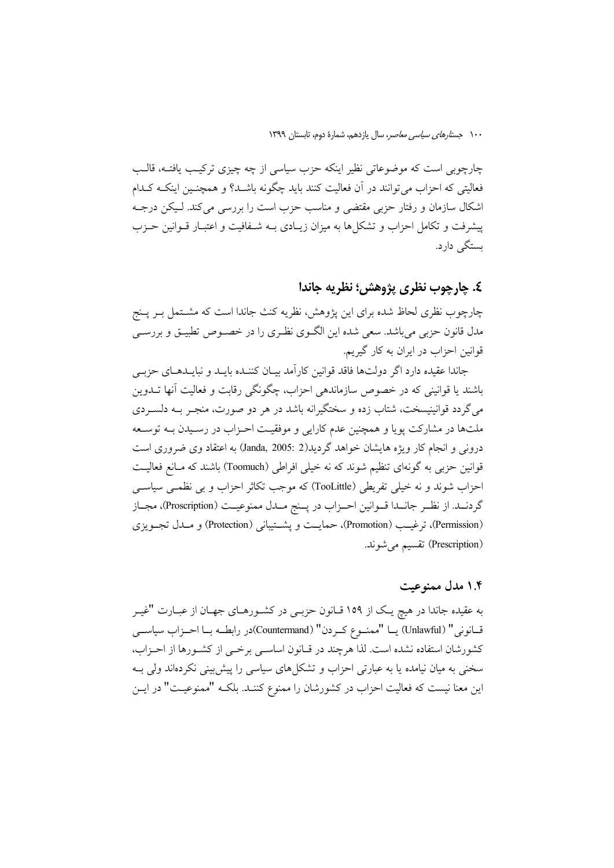چارچوبی است که موضوعاتی نظیر اینکه حزب سیاسی از چه چیزی ترکیب یافتـه، قالـب فعالیتی که احزاب می توانند در آن فعالیت کنند باید چگونه باشــد؟ و همچنــین اینکــه کــدام اشکال سازمان و رفتار حزبی مقتضی و مناسب حزب است را بررسی می کند. لـیکن درجــه پیشرفت و تکامل احزاب و تشکلها به میزان زیـادی بـه شـفافیت و اعتبـار قـوانین حـزب ىستگے دارد.

# ٤. چارچوب نظري پژوهش؛ نظريه جاندا

چارچوب نظری لحاظ شده برای این پژوهش، نظریه کنث جاندا است که مشــتمل بـر پــنج مدل قانون حزبي مي باشد. سعي شده اين الگــوي نظــري را در خصــوص تطبيــق و بررســي قوانین احزاب در ایران به کار گیریم.

جاندا عقیده دارد اگر دولتها فاقد قوانین کارآمد بیـان کننـده بایــد و نبایــدهــای حزبــی باشند یا قوانینی که در خصوص سازماندهی احزاب، چگونگی رقابت و فعالیت آنها تــدوین می گردد قوانینیسخت، شتاب زده و سختگیرانه باشد در هر دو صورت، منجـر بــه دلســردی ملتها در مشارکت پویا و همچنین عدم کارایی و موفقیت احـزاب در رسـیدن بـه توسـعه درونی و انجام کار ویژه هایشان خواهد گردید(2 :Janda, 2005) به اعتقاد وی ضروری است قوانین حزبی به گونهای تنظیم شوند که نه خیلی افراطی (Toomuch) باشند که مـانع فعالیـت احزاب شوند و نه خیلی تفریطی (TooLittle) که موجب تکاثر احزاب و بی نظمـی سیاسـی گردنــد. از نظــر جانــدا قــوانين احــزاب در پــنج مــدل ممنوعيــت (Proscription)، مجــاز (Permission)، ترغيب (Promotion)، حمايت و يشتيباني (Protection) و مــدل تجــويزي (Prescription) تقسیم میشوند.

## ١.٤ مدل ممنوعت

به عقیده جاندا در هیچ یـک از ۱۵۹ قــانون حزبـی در کشــورهــای جهــان از عبــارت "غیــر قــانوني" (Unlawful) يــا "ممنــوع كــردن" (Countermand)در رابطــه بــا احــزاب سياســي كشورشان استفاده نشده است. لذا هرچند در قـانون اساســي برخــي از كشــورها از احــزاب، سخنی به میان نیامده یا به عبارتی احزاب و تشکلهای سیاسی را پیش بینی نکردهاند ولی بـه این معنا نیست که فعالیت احزاب در کشورشان را ممنوع کننـد. بلکـه "ممنوعیـت" در ایـن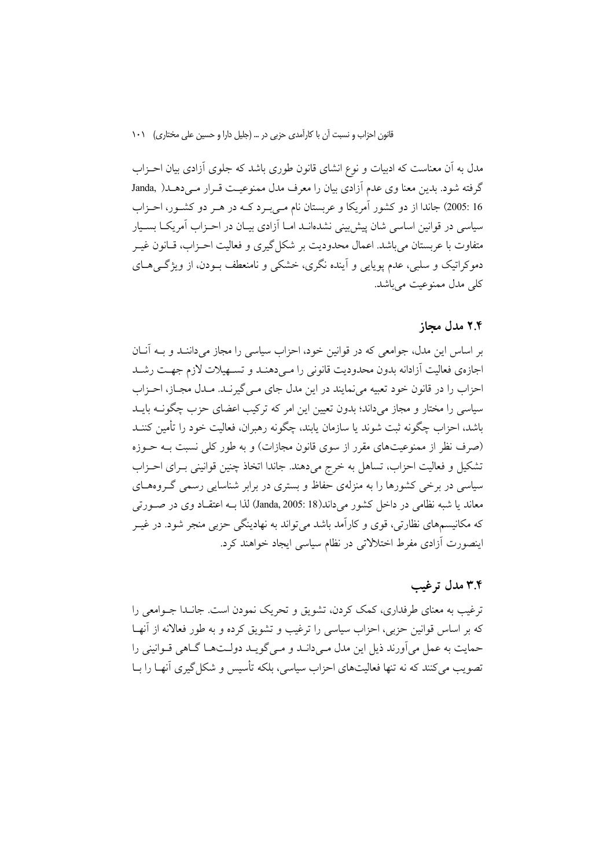مدل به آن معناست که ادبیات و نوع انشای قانون طوری باشد که جلوی آزادی بیان احـزاب گرفته شود. بدین معنا وی عدم آزادی بیان را معرف مدل ممنوعیت قـرار مـیدهـد( Janda, 16 :2005) جاندا از دو کشور آمریکا و عربستان نام مـیبـرد کـه در هـر دو کشـور، احـزاب سیاسی در قوانین اساسی شان پیش بینی نشدهانــد امــا آزادی بیــان در احــزاب آمریکــا بســیار متفاوت با عربستان می باشد. اعمال محدودیت بر شکل گیری و فعالیت احـزاب، قــانون غیــر دموکراتیک و سلبی، عدم یوپایی و آینده نگری، خشکی و نامنعطف بــودن، از ویژگــیهــای کلی مدل ممنوعیت می باشد.

#### ۲.۴ مدل محاز

بر اساس این مدل، جوامعی که در قوانین خود، احزاب سیاسی را مجاز میداننـد و بــه آنــان اجازهي فعاليت آزادانه بدون محدوديت قانوني را مىىدهنىد و تســهيلات لازم جهــت رشــد احزاب را در قانون خود تعبیه می نمایند در این مدل جای مـی گیرنـد. مـدل مجـاز، احـزاب سیاسی را مختار و مجاز میداند؛ بدون تعیین این امر که ترکیب اعضای حزب چگونــه بایــد باشد، احزاب چگو نه ثبت شوند یا سازمان پایند، چگونه رهبران، فعالیت خود را تأمین کننــد (صرف نظر از ممنوعیتهای مقرر از سوی قانون مجازات) و به طور کلی نسبت بـه حـوزه تشکیل و فعالیت احزاب، تساهل به خرج میدهند. جاندا اتخاذ چنین قوانینی بـرای احـزاب سیاسی در برخی کشورها را به منزلهی حفاظ و بستری در برابر شناسایی رسمی گـروههـای معاند یا شبه نظامی در داخل کشور می داند(Janda, 2005: 18) لذا بــه اعتقــاد وی در صــورتی که مکانیسمهای نظارتی، قوی و کارآمد باشد می تواند به نهادینگی حزبی منجر شود. در غیــر اینصورت آزادی مفرط اختلالاتی در نظام سیاسی ایجاد خواهند کرد.

# ۳.۴ مدل ترغیب

ترغیب به معنای طرفداری، کمک کردن، تشویق و تحریک نمودن است. جانـدا جـوامعی را که بر اساس قوانین حزبی، احزاب سیاسی را ترغیب و تشویق کرده و به طور فعالانه از آنهـا حمایت به عمل می آورند ذیل این مدل مے دانـد و مـی گویـد دولـتھـا گــاهی قــوانینی را تصویب میکنند که نه تنها فعالیتهای احزاب سیاسی، بلکه تأسیس و شکل گیری آنهـا را بــا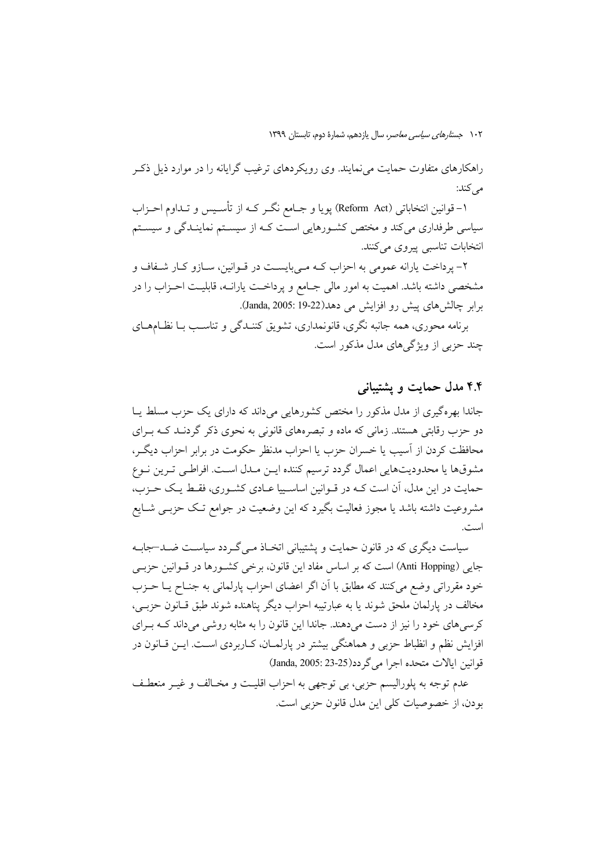راهکارهای متفاوت حمایت می نمایند. وی رویکردهای ترغیب گرایانه را در موارد ذیل ذک مر كند:

۱- قوانين انتخاباتي (Reform Act) يويا و جــامع نگــر كــه از تأســيس و تــداوم احــزاب سیاسی طرفداری میکند و مختص کشورهایی است کـه از سیسـتم نماینـدگی و سیسـتم انتخابات تناسبي پيروي مي كنند.

۲- پرداخت یارانه عمومی به احزاب کـه مـیبایسـت در قـوانین، سـازو کـار شـفاف و مشخصی داشته باشد. اهمیت به امور مالی جـامع و پرداخـت یارانــه، قابلیـت احـزاب را در برابر چالش های پیش رو افزایش می دهد(Janda, 2005: 19-22).

برنامه محوری، همه جانبه نگری، قانونمداری، تشویق کننـدگی و تناسـب بـا نظـامهــای چند حزبی از ویژگی های مدل مذکور است.

## ۴.۴ مدل حمایت و پشتیبانی

جاندا بھ ہ گیری از مدل مذکور را مختص کشورهایی می داند که دارای یک حزب مسلط پیا دو حزب رقابتی هستند. زمانی که ماده و تبصرههای قانونی به نحوی ذکر گردنــد کــه بــرای محافظت کردن از آسیب یا خسران حزب یا احزاب مدنظر حکومت در برابر احزاب دیگ ، مشوقها يا محدوديتهايي اعمال گردد ترسيم كننده ايــن مــدل اســت. افراطـي تــرين نــوع حمایت در این مدل، آن است کـه در قـوانین اساسـییا عـادی کشـوری، فقـط یـک حـزب، مشروعیت داشته باشد یا مجوز فعالیت بگیرد که این وضعیت در جوامع تـک حزبــی شــایع است.

سیاست دیگری که در قانون حمایت و پشتیبانی اتخیاذ می گیردد سیاست ضید-جاییه جایی (Anti Hopping) است که بر اساس مفاد این قانون، برخی کشورها در قـوانین حزبـی خود مقرراتی وضع می کنند که مطابق با آن اگر اعضای احزاب پارلمانی به جنـاح پــا حــزب مخالف در پارلمان ملحق شوند يا به عبارتيبه احزاب ديگر پناهنده شوند طبق قـانون حزبـي، کرسی های خود را نیز از دست می دهند. جاندا این قانون را به مثابه روشی می داند کـه بـرای افزایش نظم و انظباط حزبی و هماهنگی بیشتر در پارلمـان، کــاربردی اســت. ایــن قــانون در قوانين ايالات متحده اجرا مي گر دد(25-23 :Janda, 2005)

عدم توجه به پلورالیسم حزبی، بی توجهی به احزاب اقلیت و مخـالف و غیـر منعطـف بو دن، از خصوصیات کلی این مدل قانون جزیی است.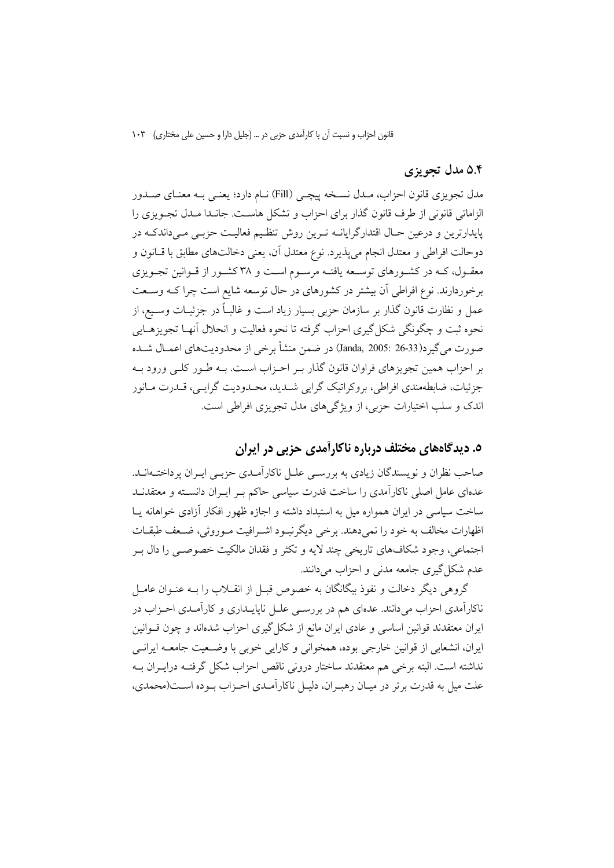#### ۵.۴ مدل تجویزی

مدل تجویزی قانون احزاب، مـدل نسـخه پیچـی (Fill) نـام دارد؛ یعنـی بـه معنـای صـدور الزاماتي قانوني از طرف قانون گذار براي احزاب و تشكل هاست. جانـدا مـدل تجـويزي را پایدارترین و درعین حـال اقتدارگرایانــه تـرین روش تنظـیم فعالیـت حزبــی مــیداندکــه در دوحالت افراطي و معتدل انجام مي پذيرد. نوع معتدل آن، يعني دخالتهاي مطابق با قــانون و معقـول، کـه در کشـورهای توسـعه یافتـه مرسـوم اسـت و ۳۸ کشـور از قـوانین تجـویزی برخوردارند. نوع افراطی آن بیشتر در کشورهای در حال توسعه شایع است چرا کـه وسـعت عمل و نظارت قانون گذار بر سازمان حزبی بسیار زیاد است و غالبـاً در جزئیــات وســیع، از نحوه ثبت و چگونگی شکل گیری احزاب گرفته تا نحوه فعالیت و انحلال أنهـا تجویزهـایی صورت مي گير د(Janda, 2005: 26-33) در ضمن منشأ برخي از محدوديتهاي اعمـال شــده بر احزاب همین تجویزهای فراوان قانون گذار بـر احـزاب اسـت. بـه طـور کلـی ورود بـه جزئیات، ضابطهمندی افراطی، بروکراتیک گرایی شـدید، محـدودیت گرایـبی، قـدرت مـانور اندک و سلب اختیارات حزبی، از ویژگرهای مدل تجویزی افراطی است.

# ۵. دیدگاههای مختلف درباره ناکارآمدی حزبی در ایران

صاحب نظران و نویسندگان زیادی به بررسـی علـل ناکارآمـدی حزبـی ایـران پرداختــهانــد. عدهای عامل اصلی ناکارآمدی را ساخت قدرت سیاسی حاکم بـر ایـران دانسـته و معتقدنــد ساخت سیاسی در ایران همواره میل به استبداد داشته و اجازه ظهور افکار آزادی خواهانه یـا اظهارات مخالف به خود را نمی دهند. برخی دیگرنبود اشـرافیت مـوروثی، ضـعف طبقـات اجتماعي، وجود شكافهاي تاريخي چند لايه و تكثر و فقدان مالكيت خصوصـي را دال بــر عدم شکل گیری جامعه مدنی و احزاب می دانند.

گروهی دیگر دخالت و نفوذ بیگانگان به خصوص قبـل از انقــلاب را بــه عنــوان عامــل ناکارآمدی احزاب میدانند. عدهای هم در بررســی علــل ناپایــداری و کارآمــدی احــزاب در ایران معتقدند قوانین اساسی و عادی ایران مانع از شکل گیری احزاب شدهاند و چون قــوانین ایران، انشعابی از قوانین خارجی بوده، همخوانی و کارایی خوبی با وضـعیت جامعــه ایرانــی نداشته است. البته برخی هم معتقدند ساختار درونی ناقص احزاب شکل گرفتـه درایــران بــه علت میل به قدرت بر تر در میـان رهبـران، دلیـل ناکار آمـدی احـزاب بـوده اسـت(محمدی،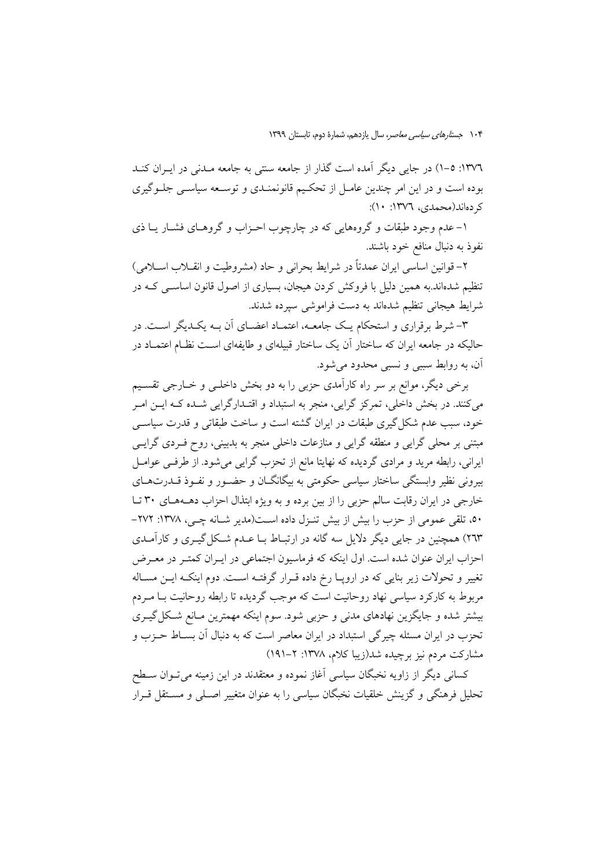١٣٧٦: ٥-١) در جايي ديگر آمده است گذار از جامعه سنتي به جامعه مـدني در ايـران كنـد بوده است و در این امر چندین عامـل از تحکـیم قانونمنـدی و توسـعه سیاسـی جلـوگیری کر دهاند(محمدی، ۱۳۷۲: ۱۰):

۱– عدم وجود طبقات و گروههایی که در چارچوب احـزاب و گروهـای فشــار یــا ذی نفوذ به دنبال منافع خود باشند.

۲– قوانین اساسی ایران عمدتاً در شرایط بحرانی و حاد (مشروطیت و انقــلاب اســلامی) تنظیم شدهاند.به همین دلیل با فروکش کردن هیجان، بسیاری از اصول قانون اساسـی کـه در شرايط هيجاني تنظيم شدهاند به دست فراموشي سيرده شدند.

۳- شرط برقراری و استحکام یـک جامعـه، اعتمـاد اعضـای آن بـه یکـدیگر اسـت. در حالیکه در جامعه ایران که ساختار آن یک ساختار قبیلهای و طایفهای است نظـام اعتمـاد در آن، به روابط سببی و نسبی محدود میشود.

برخی دیگر، موانع بر سر راه کارآمدی حزبی را به دو بخش داخلـی و خــارجی تقسـیم می کنند. در بخش داخلی، تمرکز گرایی، منجر به استبداد و اقتـدارگرایی شـده کـه ایــن امــر خود، سبب عدم شکل گیری طبقات در ایران گشته است و ساخت طبقاتی و قدرت سیاسی مبتنی بر محلی گرایی و منطقه گرایی و منازعات داخلی منجر به بدبینی، روح فـردی گرایــی ایرانی، رابطه مرید و مرادی گردیده که نهایتا مانع از تحزب گرایی میشود. از طرفـی عوامــل بیرونی نظیر وابستگی ساختار سیاسی حکومتی به بیگانگــان و حضــور و نفــوذ قــدرتهــای خارجي در ايران رقابت سالم حزبي را از بين برده و به ويژه ابتذال احزاب دهــههـاي ٣٠ تـا ٥٠، تلقى عمومى از حزب را بيش از بيش تنـزل داده اسـت(مدير شـانه چـي، ١٣٧٨: ٢٧٢-۲٦۳) همچنین در جایی دیگر دلایل سه گانه در ارتبـاط بـا عــدم شــکل گیــری و کارآمــدی احزاب ایران عنوان شده است. اول اینکه که فرماسیون اجتماعی در ایـران کمتـر در معـرض تغییر و تحولات زیر بنایی که در اروپـا رخ داده قـرار گرفتـه اسـت. دوم اینکـه ایــن مسـاله مربوط به کارکرد سیاسی نهاد روحانیت است که موجب گردیده تا رابطه روحانیت بـا مـردم بیشتر شده و جایگزین نهادهای مدنی و حزبی شود. سوم اینکه مهمترین مـانع شـکل گیــری تحزب در ایران مسئله چیرگی استبداد در ایران معاصر است که به دنبال آن بسـاط حـزب و مشارکت مردم نیز برچیده شد(زیبا کلام، ۱۳۷۸: ۲–۱۹۱)

کسانی دیگر از زاویه نخبگان سیاسی آغاز نموده و معتقدند در این زمینه میتوان سطح تحلیل فرهنگی و گزینش خلقیات نخبگان سیاسی را به عنوان متغییر اصـلی و مسـتقل قـرار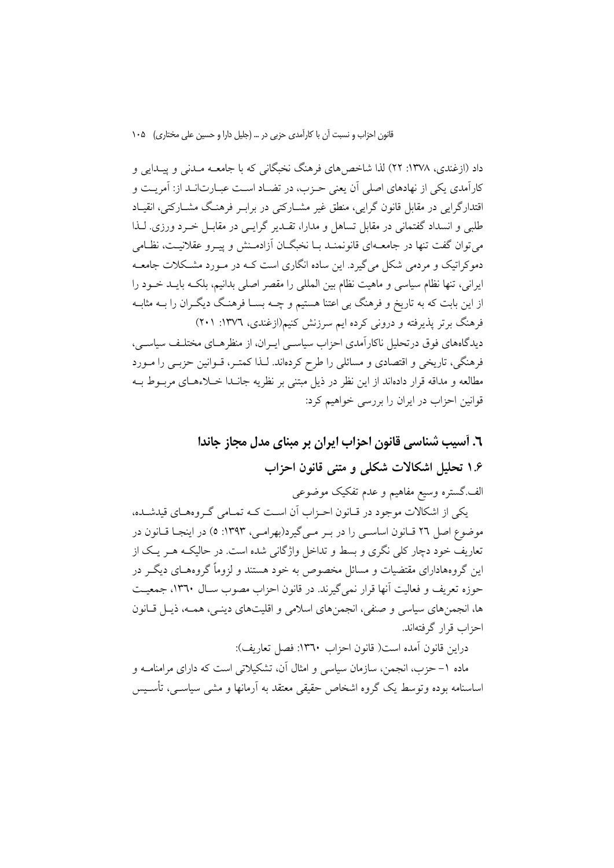داد (ازغندی، ۱۳۷۸: ۲۲) لذا شاخص های فرهنگ نخبگانی که با جامعــه مــدنی و پیــدایی و کارآمدی یکی از نهادهای اصلی آن یعنی حــزب، در تضــاد اســت عبــارت|نــد از: آمریــت و اقتدارگرایی در مقابل قانون گرایی، منطق غیر مشــارکتی در برابـر فرهنـگ مشــارکتی، انقیــاد طلبي و انسداد گفتماني در مقابل تساهل و مدارا، تقــدير گرايــي در مقابــل خــرد ورزي. لــذا می توان گفت تنها در جامعــهای قانونمنــد بــا نخبگــان آزادمــنش و پيــرو عقلانيــت، نظــامی دموکراتیک و مردمی شکل می گیرد. این ساده انگاری است کــه در مــورد مشــکلات جامعــه ايراني، تنها نظام سياسي و ماهيت نظام بين المللي را مقصر اصلي بدانيم، بلكـه بايــد خــود را از این بابت که به تاریخ و فرهنگ بی اعتنا هستیم و چــه بســا فرهنـگ دیگــران را بــه مثابــه فرهنگ برتر پذیرفته و درونی کرده ایم سرزنش کنیم(ازغندی، ۱۳۷٦: ۲۰۱) دیدگاههای فوق درتحلیل ناکارآمدی احزاب سیاسبی ایـران، از منظرهـای مختلـف سیاسـی، فرهنگی، تاریخی و اقتصادی و مسائلی را طرح کردهاند. لـذا کمتـر، قــوانین حزبــی را مــورد مطالعه و مداقه قرار دادهاند از این نظر در ذیل مبتنی بر نظریه جانــدا خــلاءهــای مربــوط بــه

قوانین احزاب در ایران را بررسی خواهیم کرد:

٦. آسيب شناسي قانون احزاب ايران بر مبناي مدل مجاز جاندا ۱.۶ تحلیل اشکالات شکلی و متنی قانون احزاب

الف گستره وسیع مفاهیم و عدم تفکیک موضوعی

یکی از اشکالات موجود در قبانون احـزاب آن اسـت کـه تمـامی گـروههـای قیدشـده، موضوع اصل ٢٦ قـانون اساســي را در بــر مــيگيرد(بهرامــي، ١٣٩٣: ٥) در اينجــا قــانون در تعاریف خود دچار کلی نگری و بسط و تداخل واژگانی شده است. در حالیکـه هــر یــک از این گروههادارای مقتضیات و مسائل مخصوص به خود هستند و لزوماً گروههـای دیگـر در حوزه تعریف و فعالیت آنها قرار نمی گیرند. در قانون احزاب مصوب سـال ١٣٦٠، جمعیـت ها، انجمنهای سیاسی و صنفی، انجمنهای اسلامی و اقلیتهای دینـی، همـه، ذیـل قـانون احزاب قرار گرفتهاند.

دراين قانون آمده است( قانون احزاب ١٣٦٠: فصل تعاريف):

ماده ١– حزب، انجمن، سازمان سیاسی و امثال آن، تشکیلاتی است که دارای مرامنامــه و اساسنامه بوده وتوسط یک گروه اشخاص حقیقی معتقد به آرمانها و مشی سیاســی، تأســیس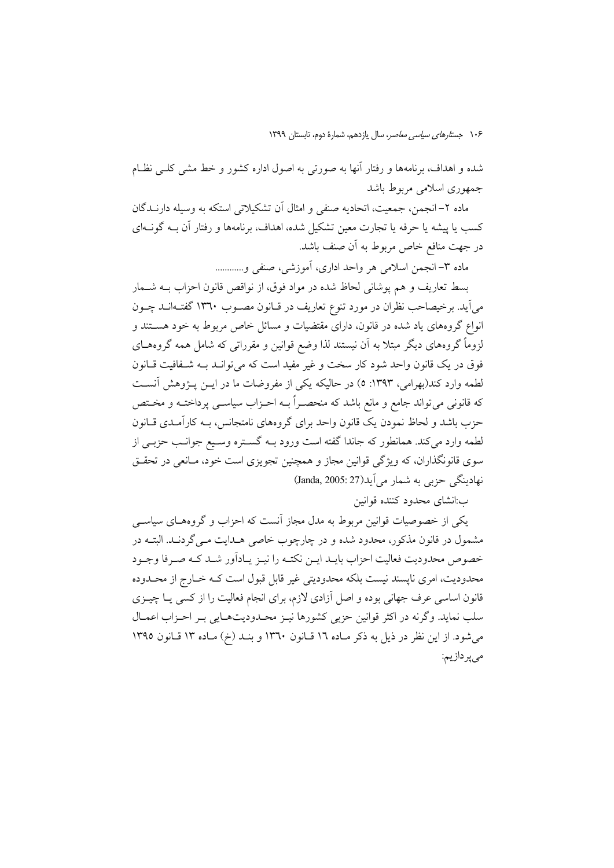شده و اهداف، برنامهها و رفتار آنها به صورتی به اصول اداره کشور و خط مشی کلـی نظـام جمهوری اسلامی مربوط باشد

ماده ۲– انجمن، جمعیت، اتحادیه صنفی و امثال اَن تشکیلاتی استکه به وسیله دارنــدگان کسب یا پیشه یا حرفه یا تجارت معین تشکیل شده، اهداف، برنامهها و رفتار آن بــه گونــهای در جهت منافع خاص مربوط به آن صنف باشد.

ماده ٣- انجمن اسلامي هر واحد اداري، آموزشي، صنفي و............

بسط تعاريف و هم يوشاني لحاظ شده در مواد فوق، از نواقص قانون احزاب بــه شــمار میآید. برخیصاحب نظران در مورد تنوع تعاریف در قـانون مصــوب ۱۳٦۰ گفتــهانــد چــون انواع گروههای یاد شده در قانون، دارای مقتضیات و مسائل خاص مربوط به خود هستند و لزوماً گروههای دیگر مبتلا به آن نیستند لذا وضع قوانین و مقرراتی که شامل همه گروههـای فوق در یک قانون واحد شود کار سخت و غیر مفید است که می توانـد بـه شـفافیت قـانون لطمه وارد کند(بهرامی، ۱۳۹۳: ٥) در حالیکه یکی از مفروضات ما در ایــن پــژوهش آنســت كه قانوني مي تواند جامع و مانع باشد كه منحصـراً بــه احـزاب سياســي پرداختــه و مخــتص حزب باشد و لحاظ نمودن یک قانون واحد برای گروههای نامتجانس، بــه کارآمــدی قــانون لطمه وارد می کند. همانطور که جاندا گفته است ورود بــه گســتره وســيع جوانــب حزبــی از سوی قانونگذاران، که ویژگی قوانین مجاز و همچنین تجویزی است خود، مـانعی در تحقــق نهادينگي حزبي به شمار مي آيد(Janda, 2005: 27)

ب:انشای محدود کننده قوانین

یکی از خصوصیات قوانین مربوط به مدل مجاز آنست که احزاب و گروههـای سیاســی مشمول در قانون مذکور، محدود شده و در چارچوب خاصی هــدایت مــی گردنــد. البتــه در خصوص محدوديت فعاليت احزاب بايـد ايــن نكتــه را نيــز يــادآور شــد كــه صــرفا وجــود محدودیت، امری ناپسند نیست بلکه محدودیتی غیر قابل قبول است کـه خـارج از محـدوده قانون اساسی عرف جهانی بوده و اصل آزادی لازم، برای انجام فعالیت را از کسی یـا چیــزی سلب نماید. وگرنه در اکثر قوانین حزبی کشورها نیـز محـدودیتهـایی بـر احـزاب اعمـال می شود. از این نظر در ذیل به ذکر مـاده ١٦ قـانون ١٣٦٠ و بنـد (خ) مـاده ١٣ قـانون ١٣٩٥ می پر دازیم: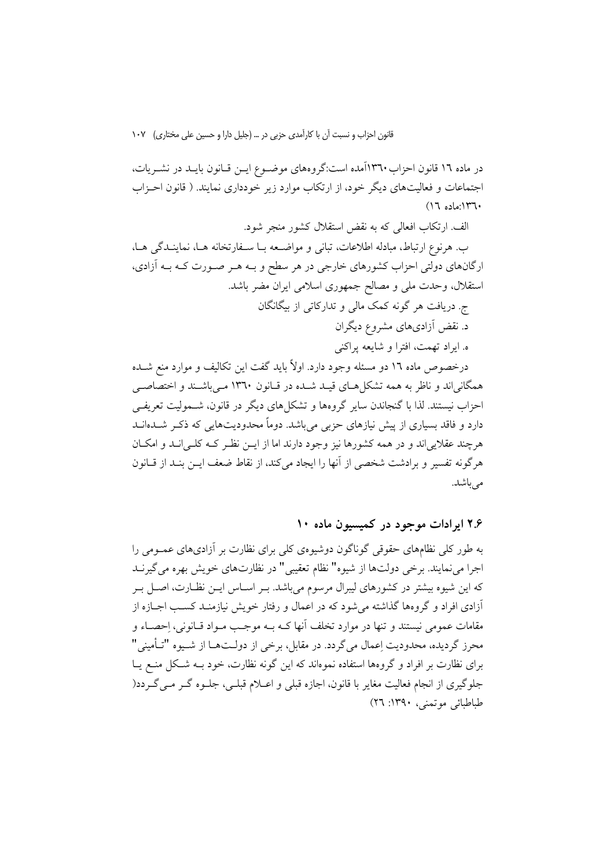در ماده ۱۲ قانون احزاب۲۳۰آمده است:گروههای موضـوع ایــن قــانون بایــد در نشــریات، اجتماعات و فعالیتهای دیگر خود، از ارتکاب موارد زیر خودداری نمایند. ( قانون احـزاب  $(17 \text{ also } 14)$ 

الف. ارتکاب افعالی که به نقض استقلال کشور منجر شود.

ب. هرنوع ارتباط، مبادله اطلاعات، تبانی و مواضـعه بـا سـفارتخانه هـا، نماینـدگی هـا، ارگانهای دولتی احزاب کشورهای خارجی در هر سطح و بـه هـر صـورت کـه بـه آزادی، استقلال، وحدت ملي و مصالح جمهوري اسلامي ايران مضر باشد.

ج. دریافت هر گونه کمک مالی و تدارکاتی از بیگانگان د. نقض آزادیهای مشروع دیگران

ه. ايراد تهمت، افترا و شايعه پراكني

درخصوص ماده ١٦ دو مسئله وجود دارد. اولاً بايد گفت اين تكاليف و موارد منع شــده همگانیاند و ناظر به همه تشکلهای قیـد شـده در قـانون ۱۳٦۰ مـیباشـند و اختصاصــی احزاب نیستند. لذا با گنجاندن سایر گروهها و تشکلهای دیگر در قانون، شــمولیت تعریفــی دارد و فاقد بسیاری از پیش نیازهای حزبی می باشد. دوماً محدودیتهایی که ذکـر شــدهانــد هرچند عقلایی اند و در همه کشورها نیز وجود دارند اما از ایــن نظـر کــه کلــی انــد و امکــان هر گونه تفسیر و برادشت شخصی از آنها را ایجاد می کند، از نقاط ضعف ایــن بنــد از قــانون مى باشد.

۲.۶ ایرادات موجود در کمیسبون ماده ۱۰

به طور کلی نظامهای حقوقی گوناگون دوشیوهی کلی برای نظارت بر آزادیهای عمـومی را اجرا مي نمايند. برخي دولتها از شيوه" نظام تعقيبي" در نظارتهاي خويش بهره مي گيرنــد که این شیوه بیشتر در کشورهای لیبرال مرسوم میباشد. بـر اسـاس ایــن نظـارت، اصــل بـر آزادی افراد و گروهها گذاشته می شود که در اعمال و رفتار خویش نیازمنـد کسـب اجــازه از مقامات عمومي نيستند و تنها در موارد تخلف أنها كــه بــه موجــب مــواد قــانوني، احصــاء و محرز گردیده، محدودیت اِعمال میگردد. در مقابل، برخی از دولــتهــا از شــیوه "تــأمینی" برای نظارت بر افراد و گروهها استفاده نموهاند که این گونه نظارت، خود بـه شـکل منــع یــا جلوگیری از انجام فعالیت مغایر با قانون، اجازه قبلی و اعــلام قبلــی، جلــوه گــر مــی گــردد( طباطبائي موتمني، ١٣٩٠: ٢٦)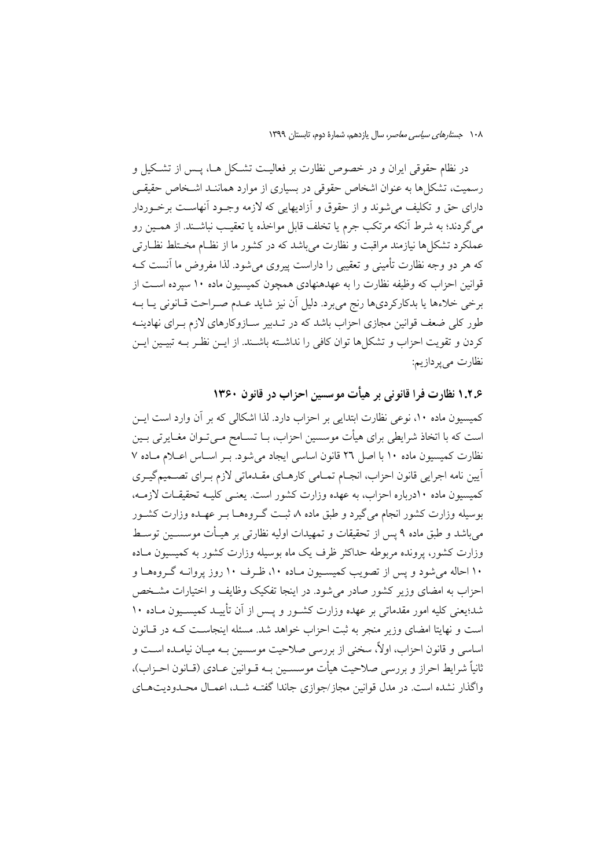در نظام حقوقی ایران و در خصوص نظارت بر فعالیـت تشـکل هــا، پــس از تشـکیل و رسمیت، تشکل ها به عنوان اشخاص حقوقی در بسیاری از موارد هماننـد اشـخاص حقیقـی دارای حق و تکلیف می شوند و از حقوق و اَزادیهایی که لازمه وجـود اَنهاسـت برخـوردار مي گردند؛ به شرط آنكه مرتكب جرم يا تخلف قابل مواخذه يا تعقيب نباشـند. از همـين رو عملکرد تشکا ها نیازمند مراقبت و نظارت می باشد که در کشور ما از نظـام مخــتلط نظــارتی که هر دو وجه نظارت تأمینی و تعقیبی را داراست پیروی می شود. لذا مفروض ما آنست کـه قوانین احزاب که وظیفه نظارت را به عهدهنهادی همچون کمیسیون ماده ۱۰ سیرده است از برخی خلاءها یا بدکارکردیها رنج می برد. دلیل آن نیز شاید عـدم صـراحت قـانونی یـا بـه طور کلی ضعف قوانین مجازی احزاب باشد که در تـدبیر سـازوکارهای لازم بـرای نهادینــه كردن و تقويت احزاب و تشكلها توان كافي را نداشته باشـند. از ايــن نظـر بــه تبيــين ايــن نظارت مي پردازيم:

۱.۲.۶ نظارت فرا قانونی بر هیأت موسسین احزاب در قانون ۱۳۶۰ کمیسیون ماده ۱۰، نوعی نظارت ابتدایی بر احزاب دارد. لذا اشکالی که بر آن وارد است ایــن است که با اتخاذ شرایطی برای هیأت موسسین احزاب، بــا تســامح مــی تــوان مغــایر تی بــین نظارت كميسيون ماده ١٠ با اصل ٢٦ قانون اساسي ايجاد مي شود. بـر اسـاس اعـلام مـاده ٧ آيين نامه اجرايي قانون احزاب، انجــام تمــامي كارهــاي مقــدماتي لازم بــراي تصــميمگيــري كميسيون ماده ١٠درباره احزاب، به عهده وزارت كشور است. يعني كليـه تحقيقـات لازمـه، بوسیله وزارت کشور انجام میگیرد و طبق ماده ۸ ثبت گـروههـا بـر عهـده وزارت کشــور می باشد و طبق ماده ۹ پس از تحقیقات و تمهیدات اولیه نظارتی بر هیــأت موسســین توســط وزارت کشور، پرونده مربوطه حداکثر ظرف یک ماه بوسیله وزارت کشور به کمیسیون مـاده ۱۰ احاله می شود و پس از تصویب کمیسـیون مـاده ۱۰، ظـرف ۱۰ روز پروانــه گـروههـا و احزاب به امضای وزیر کشور صادر می شود. در اینجا تفکیک وظایف و اختیارات مشـخص شد؛یعنی کلیه امور مقدماتی بر عهده وزارت کشـور و پـس از آن تأییـد کمیسـیون مـاده ۱۰ است و نهایتا امضای وزیر منجر به ثبت احزاب خواهد شد. مسئله اینجاسـت کـه در قـانون اساسی و قانون احزاب، اولاً، سخنی از بررسی صلاحیت موسسین بـه میـان نیامـده اســت و ثانياً شرايط احراز و بررسي صلاحيت هيأت موسســين بــه قــوانين عــادي (قــانون احــزاب)، واگذار نشده است. در مدل قوانین مجاز/جوازی جاندا گفتـه شـد، اعمـال محـدودیتهـای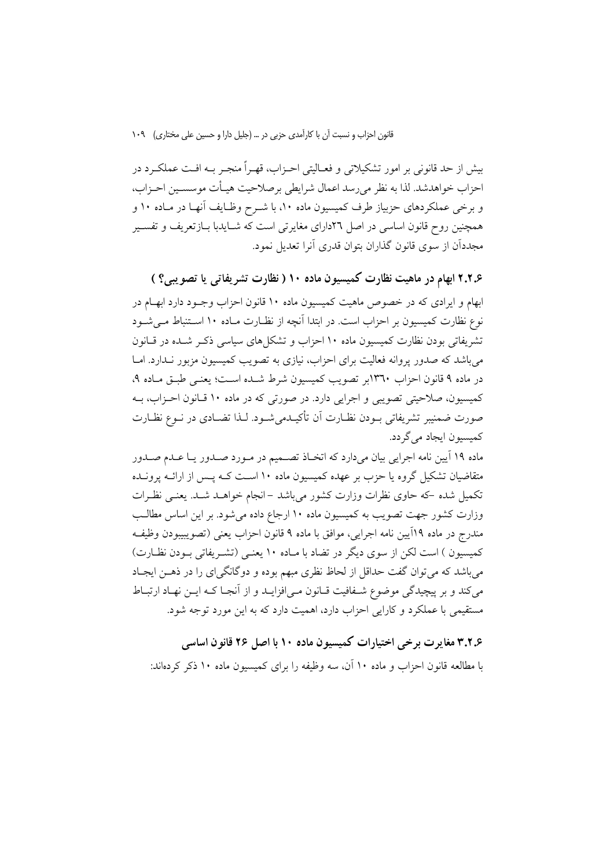بیش از حد قانونی بر امور تشکیلاتی و فعـالیتی احــزاب، قهــراً منجــر بــه افــت عملکــرد در احزاب خواهدشد. لذا به نظر می رسد اعمال شرایطی برصلاحیت هیـأت موسسـین احــزاب، و برخی عملکردهای حزبیاز طرف کمیسیون ماده ۱۰، با شـرح وظـایف آنهـا در مـاده ۱۰ و همچنین روح قانون اساسی در اصل ٢٦دارای مغایرتی است که شـایدبا بــازتعریف و تفســیر مجددان از سوی قانون گذاران بتوان قدری آنرا تعدیل نمود.

۲.۲.۶ ابهام در ماهیت نظارت کمیسیون ماده ۱۰ ( نظارت تشریفاتی یا تصویبی؟ ) ابهام و ایرادی که در خصوص ماهیت کمیسیون ماده ۱۰ قانون احزاب وجـود دارد ابهـام در نوع نظارت کمیسیون بر احزاب است. در ابتدا آنچه از نظـارت مـاده ۱۰ اسـتنباط مـی شــود تشریفاتی بودن نظارت کمیسیون ماده ۱۰ احزاب و تشکل های سیاسی ذکـر شـده در قـانون میباشد که صدور پروانه فعالیت برای احزاب، نیازی به تصویب کمیسیون مزبور نـدارد. امـا در ماده ۹ قانون احزاب ۱۳٦۰بر تصویب کمیسیون شرط شـده اسـت؛ یعنـی طبـق مـاده ۹، کمیسیون، صلاحیتی تصویبی و اجرایی دارد. در صورتی که در ماده ۱۰ قـانون احـزاب، بــه صورت ضمنيبر تشريفاتي بــودن نظــارت أن تأكيــدميشــود. لــذا تضــادي در نــوع نظــارت كميسيون ايجاد مي گردد.

ماده ۱۹ آیین نامه اجرایی بیان میدارد که اتخـاذ تصــمیم در مــورد صــدور یــا عــدم صــدور متقاضیان تشکیل گروه یا حزب بر عهده کمیسیون ماده ۱۰ اسـت کـه پـس از ارائــه پرونــده تکمیل شده که حاوی نظرات وزارت کشور میباشد –انجام خواهـد شـد. یعنـی نظـرات وزارت کشور جهت تصویب به کمیسیون ماده ۱۰ ارجاع داده میشود. بر این اساس مطالب مندرج در ماده ١٩أيين نامه اجرايي، موافق با ماده ٩ قانون احزاب يعني (تصويبيبودن وظيفه کمیسیون ) است لکن از سوی دیگر در تضاد با مـاده ۱۰ یعنـی (تشـریفاتی بـودن نظـارت) میباشد که می توان گفت حداقل از لحاظ نظری مبهم بوده و دوگانگیرای را در ذهـن ایجـاد میکند و بر پیچیدگی موضوع شــفافیت قــانون مــی|فزایــد و از آنجــا کــه ایــن نهــاد ارتبــاط مستقیمی با عملکرد و کارایی احزاب دارد، اهمیت دارد که به این مورد توجه شود.

۳.۲٫۶ مغایر ت بر خی اختیارات کمیسیو ن ماده ۱۰ با اصل ۲۶ قانو ن اساسی با مطالعه قانون احزاب و ماده ۱۰ آن، سه وظیفه را برای کمیسیون ماده ۱۰ ذکر کردهاند: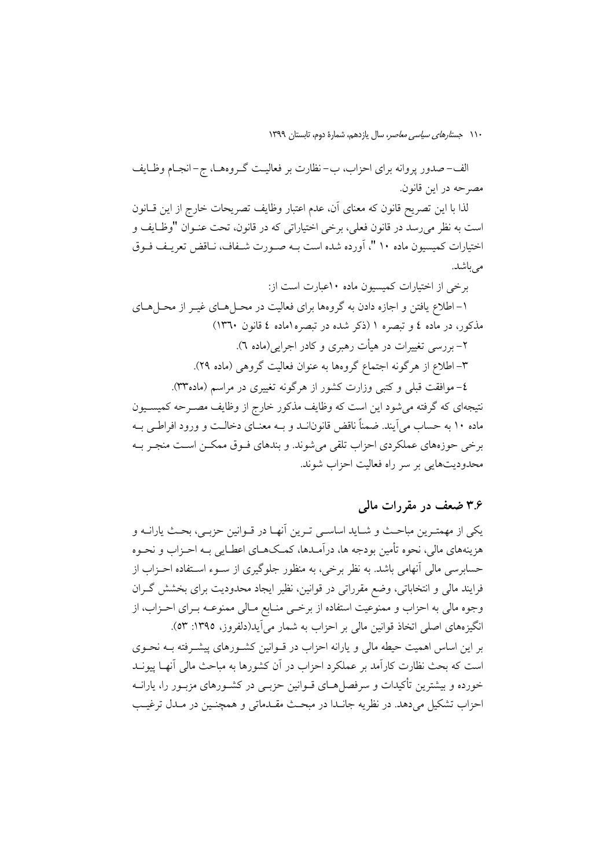الف-صدور پروانه برای احزاب، ب-نظارت بر فعالیـت گـروههـا، ج-انجـام وظـايف مصرحه در اين قانون.

لذا با اين تصريح قانون كه معناي آن، عدم اعتبار وظايف تصريحات خارج از اين قــانون است به نظر مي رسد در قانون فعلي، برخي اختياراتي كه در قانون، تحت عنـوان "وظـايف و اختیارات کمیسیون ماده ۱۰ "، آورده شده است بــه صــورت شــفاف، نــاقض تعریـف فــوق مر باشد.

برخی از اختیارات کمیسیون ماده ۱۰عبارت است از: ۱– اطلاع یافتن و اجازه دادن به گروهها برای فعالیت در محـلهـای غیــر از محـلهـای مذکور، در ماده ٤ و تبصره ١ (ذکر شده در تبصره اماده ٤ قانون ١٣٦٠) ۲– بررسی تغییرات در هیأت رهبری و کادر اجرایی(ماده ۳). ٣–اطلاع از هرگونه اجتماع گروهها به عنوان فعالیت گروهی (ماده ٢٩). ٤- موافقت قبلي وكتبي وزارت كشور از هرگونه تغييري در مراسم (ماده٣٣). نتیجهای که گرفته میشود این است که وظایف مذکور خارج از وظایف مصـرحه کمیســیون ماده ۱۰ به حساب می آیند. ضمناً ناقض قانونانــد و بــه معنــای دخالــت و ورود افراطــی بــه برخي حوزههاي عملكردي احزاب تلقى مى شوند. و بندهاي فــوق ممكــن اســت منجــر بــه محدودیتهایی بر سر راه فعالیت احزاب شوند.

#### ۳.۶ ضعف در مقررات مالی

يكي از مهمتـرين مباحـث و شــايد اساســي تـرين آنهــا در قــوانين حزبــي، بحـث يارانــه و هزینههای مالی، نحوه تأمین بودجه ها، درآمـدها، کمـکمـای اعطـایی بـه احـزاب و نحـوه حسابرسي مالي آنهامي باشد. به نظر برخي، به منظور جلوگيري از سـوء اسـتفاده احـزاب از فرایند مالی و انتخاباتی، وضع مقرراتی در قوانین، نظیر ایجاد محدودیت برای بخشش گــران وجوه مالي به احزاب و ممنوعيت استفاده از برخمي منـابع مـالي ممنوعـه بـراي احـزاب، از انگیزههای اصلی اتخاذ قوانین مالی بر احزاب به شمار می آید(دلفروز، ۱۳۹۵: ۵۳). بر این اساس اهمیت حیطه مالی و پارانه احزاب در قــوانین کشــورهای پیشــرفته بــه نحــوی است که بحث نظارت کارآمد بر عملکرد احزاب در آن کشورها به مباحث مالی آنهـا پیونــد خورده و بیشترین تأکیدات و سرفصل هـای قــوانین حزبــی در کشــورهای مزبــور را، یارانــه احزاب تشکيل مي دهد. در نظريه جانـدا در مبحـث مقـدماتي و همچنـين در مـدل ترغيـب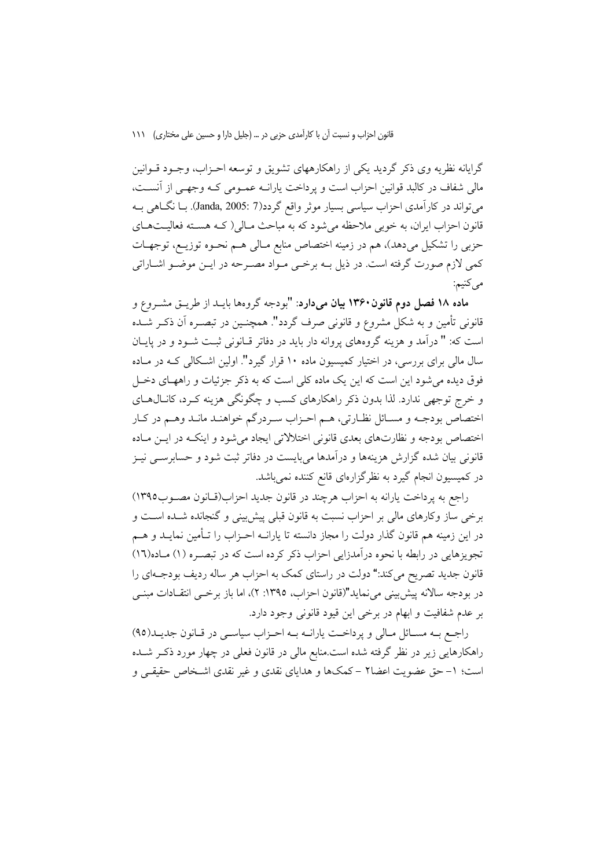گرایانه نظریه وی ذکر گردید یکی از راهکارههای تشویق و توسعه احـزاب، وجـود قــوانین مالی شفاف در کالبد قوانین احزاب است و یرداخت یارانــه عمــومی کــه وجهــی از آنســت، میتواند در کارآمدی احزاب سیاسی بسیار موثر واقع گردد(7 :Janda, 2005). بــا نگــاهی بــه قانون احزاب ایران، به خوبی ملاحظه میشود که به مباحث مـالی( کــه هســته فعالیــتهــای حزبی را تشکیل میدهد)، هم در زمینه اختصاص منابع مـالی هـم نحـوه توزیـع، توجهـات کمی لازم صورت گرفته است. در ذیل بــه برخــی مــواد مصــرحه در ایــن موضــو اشــاراتی مي کنيم:

ماده ۱۸ فصل دوم قانون ۱۳۶۰ بیان میدارد: "بودجه گروهها بایـد از طریــق مشــروع و قانونی تأمین و به شکل مشروع و قانونی صرف گردد". همچنــین در تبصــره آن ذکــر شــده است که: " درآمد و هزینه گروههای پروانه دار باید در دفاتر قبانونی ثبت شـود و در پایـان سال مالی برای بررسی، در اختیار کمیسیون ماده ۱۰ قرار گیرد". اولین اشـکالی کـه در مـاده فوق دیده می شود این است که این یک ماده کلی است که به ذکر جزئیات و راههـای دخــل و خرج توجهي ندارد. لذا بدون ذكر راهكارهاي كسب و چگونگي هزينه كـرد، كانــال1عــاي اختصاص بودجـه و مسـائل نظـارتي، هـم احـزاب سـردرگم خواهنـد مانـد وهـم در كـار اختصاص بودجه و نظارتهای بعدی قانونی اختلالاتی ایجاد میشود و اینکـه در ایــن مـاده قانونی بیان شده گزارش هزینهها و درآمدها میبایست در دفاتر ثبت شود و حسابرســی نیــز در کمیسیون انجام گیرد به نظرگزارهای قانع کننده نمیباشد.

راجع به پرداخت یارانه به احزاب هرچند در قانون جدید احزاب(قـانون مصـوب١٣٩٥) برخی ساز وکارهای مالی بر احزاب نسبت به قانون قبلی پیش بینی و گنجانده شـده اسـت و در این زمینه هم قانون گذار دولت را مجاز دانسته تا یارانــه احــزاب را تــأمین نمایــد و هــم تجویزهایی در رابطه با نحوه درآمدزایی احزاب ذکر کرده است که در تبصـره (۱) مـاده(۱۲) قانون جدید تصریح می کند:" دولت در راستای کمک به احزاب هر ساله ردیف بودجـهای را در بودجه سالانه پیش بینی می نماید"(قانون احزاب، ١٣٩٥: ٢)، اما باز برخـی انتقـادات مبنـی بر عدم شفافیت و ابهام در برخی این قیود قانونی وجود دارد.

راجع به مسائل مالي و پرداخت يارانـه بـه احـزاب سياسـي در قـانون جديـد(٩٥) راهکارهایی زیر در نظر گرفته شده است.منابع مالی در قانون فعلی در چهار مورد ذکـر شـده است؛ ١- حق عضويت اعضا٢ – كمكها و هداياي نقدي و غير نقدي اشـخاص حقيقـي و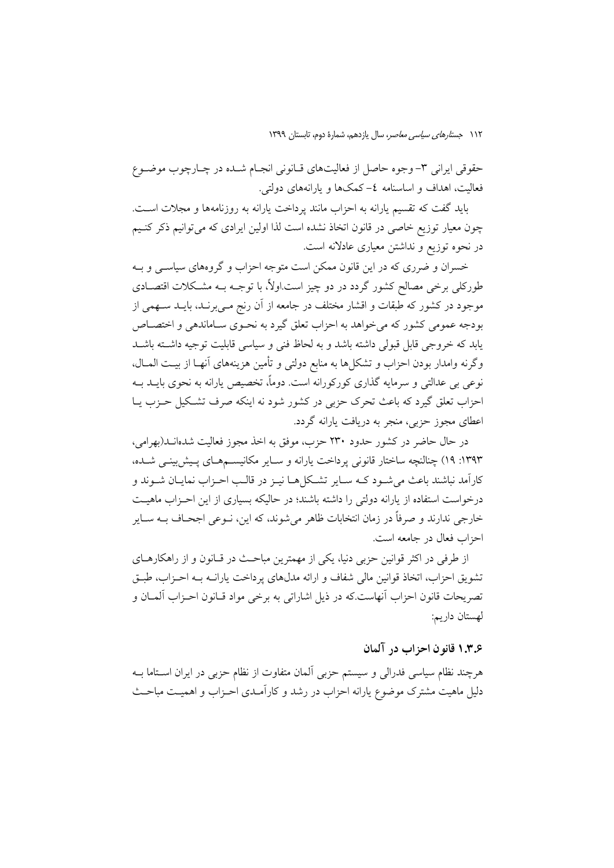حقوقی ایرانی ۳- وجوه حاصل از فعالیتهای قـانونی انجـام شـده در چـارچوب موضـوع فعالیت، اهداف و اساسنامه ٤–کمکها و بارانههای دولتی.

باید گفت که تقسیم پارانه به احزاب مانند پرداخت پارانه به روزنامهها و مجلات است. چون معیار توزیع خاصی در قانون اتخاذ نشده است لذا اولین ایرادی که می توانیم ذکر کنـیم در نحوه توزیع و نداشتن معیاری عادلانه است.

خسران و ضرری که در این قانون ممکن است متوجه احزاب و گروههای سیاسـی و بــه طورکلی برخی مصالح کشور گردد در دو چیز است.اولاً، با توجـه بــه مشـکلات اقتصــادی موجود در کشور که طبقات و اقشار مختلف در جامعه از آن رنج مـیبرنــد، بایــد ســهمی از بودجه عمومی کشور که می خواهد به احزاب تعلق گیرد به نحـوی سـاماندهی و اختصــاص یابد که خروجی قابل قبولی داشته باشد و به لحاظ فنی و سیاسی قابلیت توجیه داشته باشید وگرنه وامدار بودن احزاب و تشکلها به منابع دولتی و تأمین هزینههای آنهـا از بیـت المـال، نوعی بی عدالتی و سرمایه گذاری کورکورانه است. دوماً، تخصیص پارانه به نحوی بایــد بــه احزاب تعلق گیرد که باعث تحرک حزبی در کشور شود نه اینکه صرف تشکیل حـزب پـا اعطای مجوز حزبی، منجر به دریافت یارانه گردد.

در حال حاضر در کشور حدود ۲۳۰ حزب، موفق به اخذ مجوز فعالیت شدهانــد(بهرامی، ۱۳۹۳: ۱۹) چنالنچه ساختار قانونی پرداخت پارانه و سـایر مکانیســمهـای پـیش;بینــی شــده، كارآمد نباشند باعث مي شـود كــه سـاير تشـكل هــا نيــز در قالــب احــزاب نمايــان شــوند و درخواست استفاده از یارانه دولتی را داشته باشند؛ در حالیکه بسیاری از این احـزاب ماهیـت خارجي ندارند و صرفاً در زمان انتخابات ظاهر مي شوند، كه اين، نــوعي اجحــاف بــه ســاير احزاب فعال در جامعه است.

از طرفی در اکثر قوانین حزبی دنیا، یکی از مهمترین مباحث در قـانون و از راهکارهـای تشويق احزاب، اتخاذ قوانين مالي شفاف و ارائه مدلهاي يرداخت يارانــه بــه احـزاب، طبــق تصريحات قانون احزاب آنهاست.كه در ذيل اشاراتي به برخي مواد قـانون احـزاب آلمــان و لهستان دار ىم:

#### ۱.۳.۶ قانو ن احزاب در آلمان

هرچند نظام سیاسی فدرالی و سیستم حزبی المان متفاوت از نظام حزبی در ایران اســتاما بــه دلیل ماهیت مشترک موضوع یارانه احزاب در رشد و کارآمـدی احـزاب و اهمیـت مباحـث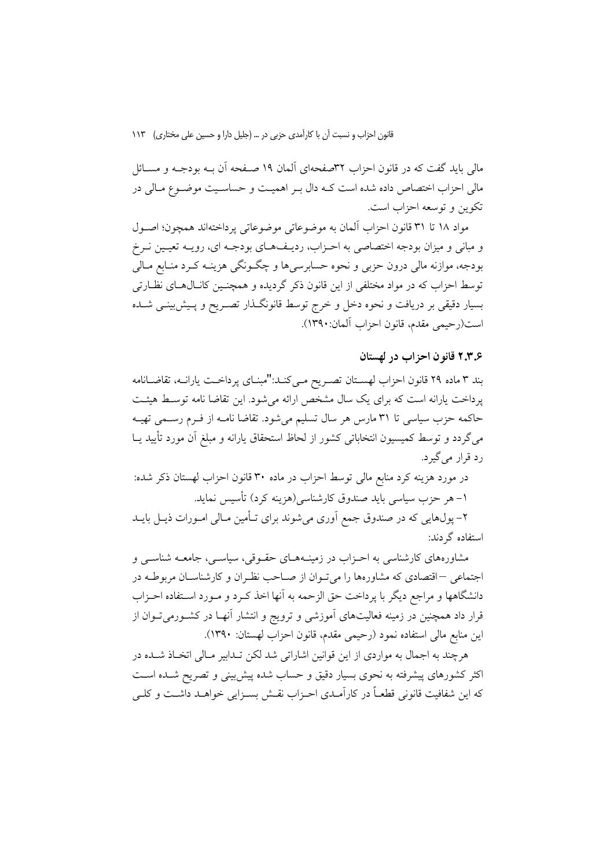مالی باید گفت که در قانون احزاب ٣٢صفحهای آلمان ١٩ صـفحه آن بــه بودجــه و مســائل مالي احزاب اختصاص داده شده است كـه دال بـر اهميـت و حساسـيت موضـوع مـالي در تکوين و توسعه احزاب است.

مواد ١٨ تا ٣١ قانون احزاب آلمان به موضوعاتي موضوعاتي پر داختهاند همچون؛ اصبول و مبانی و میزان بودجه اختصاصی به احـزاب، ردیـفهـای بودجـه ای، رویـه تعیـین نـرخ بودجه، موازنه مالي درون حزبي و نحوه حسابرسي ها و چگــونگي هزينــه كــرد منــابع مــالي توسط احزاب که در مواد مختلفی از این قانون ذکر گردیده و همچنـین کانـال۱صای نظـارتی بسیار دقیقی بر دریافت و نحوه دخل و خرج توسط قانونگـذار تصـریح و پـیش٫بینــی شــده است(رحيمي مقدم، قانون احزاب آلمان:١٣٩٠).

#### ٢.٣.۶ قانون احزاب در لهستان

بند ٣ ماده ٢٩ قانون احزاب لهستان تصريح مـي كنـد:"مبنـاي يرداخـت يارانــه، تقاضــانامه یرداخت یارانه است که برای یک سال مشخص ارائه می شود. این تقاضا نامه توسط هیئت حاکمه حزب سیاسی تا ۳۱ مارس هر سال تسلیم میشود. تقاضا نامـه از فـرم رسـمی تهیـه میگردد و توسط کمیسیون انتخاباتی کشور از لحاظ استحقاق یارانه و مبلغ آن مورد تأیید یــا رد قرار می گیرد.

در مورد هزینه کرد منابع مالی توسط احزاب در ماده ۳۰ قانون احزاب لهستان ذکر شده: ١– هر حزب سياسي بايد صندوق كارشناسي(هزينه كرد) تأسيس نمايد.

۲– پول@ایی که در صندوق جمع اَوری میشوند برای تـأمین مـالی امـورات ذیــل بایــد استفاده گردند:

مشاورههای کارشناسی به احـزاب در زمینــههــای حقـوقی، سیاســی، جامعــه شناســی و اجتماعی –اقتصادی که مشاورهها را میتوان از صـاحب نظـران و کارشناسـان مربوطـه در دانشگاهها و مراجع دیگر با پرداخت حق الزحمه به آنها اخذ کـرد و مـورد اسـتفاده احـزاب قرار داد همچنین در زمینه فعالیتهای آموزشی و ترویج و انتشار آنهـا در کشـورمیتـوان از اين منابع مالي استفاده نمود (رحيمي مقدم، قانون احزاب لهستان: ١٣٩٠).

هرچند به اجمال به مواردی از این قوانین اشاراتی شد لکن تـدابیر مـالی اتخـاذ شـده در اکثر کشورهای پیشرفته به نحوی بسیار دقیق و حساب شده پیش بینی و تصریح شـده اسـت که این شفافیت قانونی قطعـاً در کارآمـدی احـزاب نقـش بسـزایی خواهـد داشـت و کلـی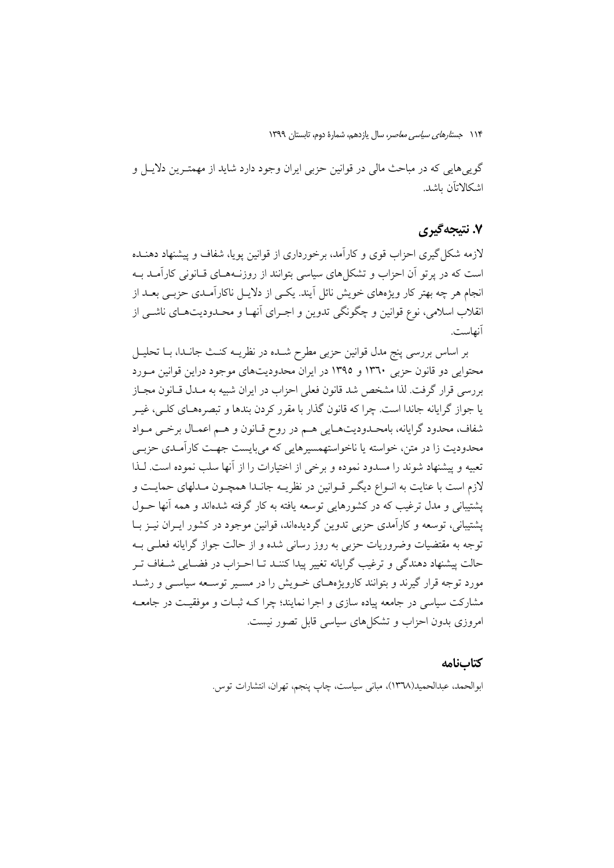گویی هایی که در مباحث مالی در قوانین حزبی ایران وجود دارد شاید از مهمتـرین دلایــل و اشكالاتان ىاشد.

## ۷. نتیجهگیری

لازمه شکل گیری احزاب قوی و کارآمد، برخورداری از قوانین یوپا، شفاف و پیشنهاد دهنــده است که در پر تو آن احزاب و تشکلهای سیاسی بتوانند از روزنـههـای قـانونی کارآمـد بـه انجام هر چه بهتر کار ویژههای خویش نائل آیند. یکسی از دلایـل ناکارآمـدی حزبـی بعــد از انقلاب اسلامي، نوع قوانين و چگونگي تدوين و اجـراي أنهـا و محـدوديتهـاي ناشــي از آنهاست.

بر اساس بررسی پنج مدل قوانین حزبی مطرح شـده در نظریــه کنـث جانـدا، بـا تحليــل محتوایی دو قانون حزبی ۱۳٦۰ و ۱۳۹۵ در ایران محدودیتهای موجود دراین قوانین مـورد بررسی قرار گرفت. لذا مشخص شد قانون فعلی احزاب در ایران شبیه به مـدل قـانون مجـاز یا جواز گرایانه جاندا است. چرا که قانون گذار با مقرر کردن بندها و تبصرههـای کلـی، غیـر شفاف، محدود گرایانه، بامحـدودیتهـایی هـم در روح قـانون و هـم اعمـال برخـی مـواد محدودیت زا در متن، خواسته یا ناخواستهمسیرهایی که می بایست جهـت کارآمـدی حزبـی تعبیه و پیشنهاد شوند را مسدود نموده و برخی از اختیارات را از آنها سلب نموده است. لـذا لازم است با عنایت به انـواع دیگـر قـوانین در نظریــه جانـدا همچـون مـدلهای حمایــت و پشتیبانی و مدل ترغیب که در کشورهایی توسعه یافته به کار گرفته شدهاند و همه آنها حــول یشتمانی، توسعه و کارآمدی جزیی تدوین گردیدهاند، قوانین موجود در کشور ایبران نیبز پا توجه به مقتضیات وضروریات حزبی به روز رسانی شده و از حالت جواز گرایانه فعلـی بــه حالت پیشنهاد دهندگی و ترغیب گرایانه تغییر پیدا کننید تیا احیزاب در فضیایی شیفاف تیر مورد توجه قرار گیرند و بتوانند کارویژههـای خــویش را در مســیر توســعه سیاســی و رشــد مشارکت سیاسی در جامعه پیاده سازی و اجرا نمایند؛ چرا کـه ثبــات و موفقیــت در جامعــه امروزی بدون احزاب و تشکل های سیاسی قابل تصور نیست.

#### كتابنامه

ابوالحمد، عبدالحميد(١٣٦٨)، مباني سياست، چاپ ينجم، تهران، انتشارات توس.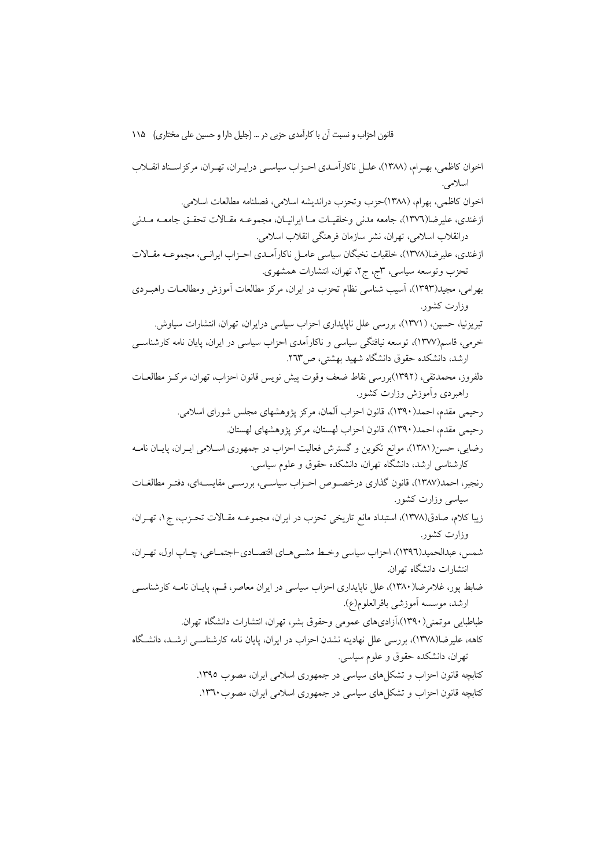اخوان کاظمی، بھے ام، (۱۳۸۸)، علـل ناکار آمـدی احـزاب سیاسـی درایـران، تھـران، مرکزاسـناد انقــلاب اسلامي. اخوان كاظمى، بهرام، (١٣٨٨)حزب وتحزب درانديشه اسلامى، فصلنامه مطالعات اسلامى. ازغندي، عليرضا(١٣٧٦)، جامعه مدني وخلقيــات مــا ايرانيــان، مجموعــه مقــالات تحقــق جامعــه مــدني درانقلاب اسلامی، تهران، نشر سازمان فرهنگی انقلاب اسلامی. ازغندي، عليرضا(١٣٧٨)، خلقيات نخبگان سياسي عامـل ناكارآمـدي احـزاب ايرانـي، مجموعـه مقـالات تحزب وتوسعه سیاسی، ۳ج، ج۲، تهران، انتشارات همشهری<sub>.</sub> بهرامي، مجيد(١٣٩٣)، آسيب شناسي نظام تحزب در ايران، مركز مطالعات آموزش ومطالعــات راهبــردي وزارت کشور. تبریزنیا، حسین، (۱۳۷۱)، بررسی علل ناپایداری احزاب سیاسی درایران، تهران، انتشارات سیاوش. خرمی، قاسم(۱۳۷۷)، توسعه نیافتگی سیاسی و ناکارآمدی احزاب سیاسی در ایران، پایان نامه کارشناسـی ارشد، دانشکده حقوق دانشگاه شهید بهشتی، ص۳٦٣. دلفروز، محمدتقی، (۱۳۹۲)بررسی نقاط ضعف وقوت پیش نویس قانون احزاب، تهران، مرکـز مطالعــات راهبردي وأموزش وزارت كشور. رحيمي مقدم، احمد(١٣٩٠)، قانون احزاب آلمان، مركز يژوهشهاي مجلس شوراي اسلامي. رحيمي مقدم، احمد(١٣٩٠)، قانون احزاب لهستان، مركز يژوهشهاي لهستان. رضایی، حسن(۱۳۸۱)، موانع تکوین و گسترش فعالیت احزاب در جمهوری اسـلامی ایـران، پایـان نامـه کارشناسی ارشد، دانشگاه تهران، دانشکده حقوق و علوم سیاسی. رنجبر، احمد(۱۳۸۷)، قانون گذاری درخصوص احـزاب سیاسـی، بررسـی مقایسـهای، دفتـر مطالغـات سیاسی وزارت کشور. زيبا كلام، صادق(١٣٧٨)، استبداد مانع تاريخي تحزب در ايران، مجموعــه مقــالات تحـزب، ج١، تهـران، وزارت كشور. شمس ، عبدالحمید(١٣٩٦)، احزاب سیاسی وخط مشــی هـای اقتصــادی-اجتمــاعی، چــاپ اول، تهــران، انتشارات دانشگاه تهران. ضابط یور، غلامرضا(۱۳۸۰)، علل ناپایداری احزاب سیاسی در ایران معاصر، قسم، پایـان نامــه کارشناســی ارشد، موسسه أموزشي باقرالعلوم(ع). طباطبایی موتمنی(۱۳۹۰)،آزادیهای عمومی وحقوق بشر، تهران، انتشارات دانشگاه تهران. کاهه، علیرضا(۱۳۷۸)، بررسی علل نهادینه نشدن احزاب در ایران، پایان نامه کارشناسبی ارشـد. دانشـگاه تهران، دانشکده حقوق و علوم سیاسی. کتابچه قانون احزاب و تشکلهای سیاسی در جمهوری اسلامی ایران، مصوب ١٣٩٥. کتابچه قانون احزاب و تشکل های سیاسی در جمهوری اسلامی ایران، مصوب۱۳٦۰.